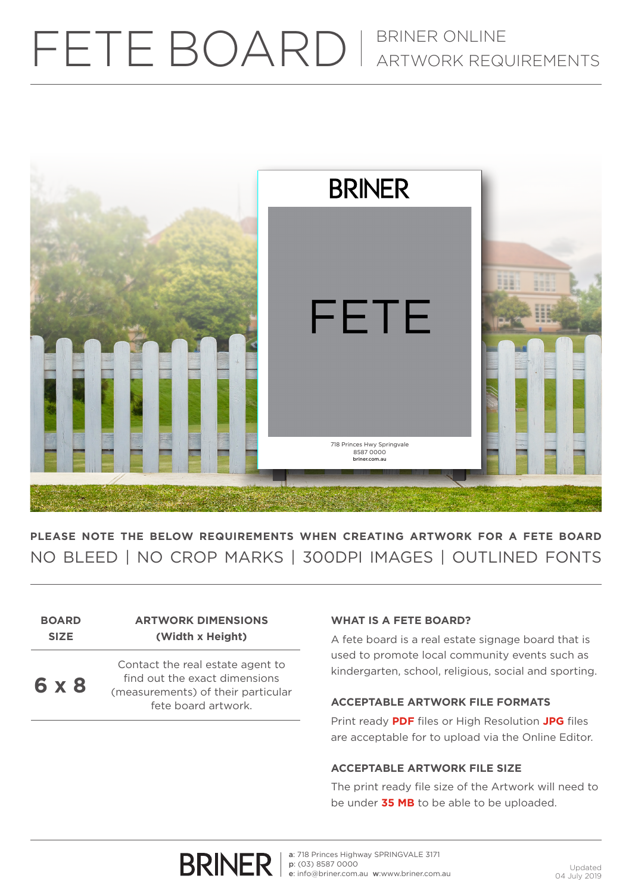# FETE BOARD | BRINER ONLINE



**PLEASE NOTE THE BELOW REQUIREMENTS WHEN CREATING ARTWORK FOR A FETE BOARD** NO BLEED | NO CROP MARKS | 300DPI IMAGES | OUTLINED FONTS

#### **BOARD SIZE ARTWORK DIMENSIONS (Width x Height)**

**6 x 8**

Contact the real estate agent to find out the exact dimensions (measurements) of their particular fete board artwork.

# **WHAT IS A FETE BOARD?**

A fete board is a real estate signage board that is used to promote local community events such as kindergarten, school, religious, social and sporting.

# **ACCEPTABLE ARTWORK FILE FORMATS**

Print ready **PDF** files or High Resolution **JPG** files are acceptable for to upload via the Online Editor.

## **ACCEPTABLE ARTWORK FILE SIZE**

The print ready file size of the Artwork will need to be under **35 MB** to be able to be uploaded.